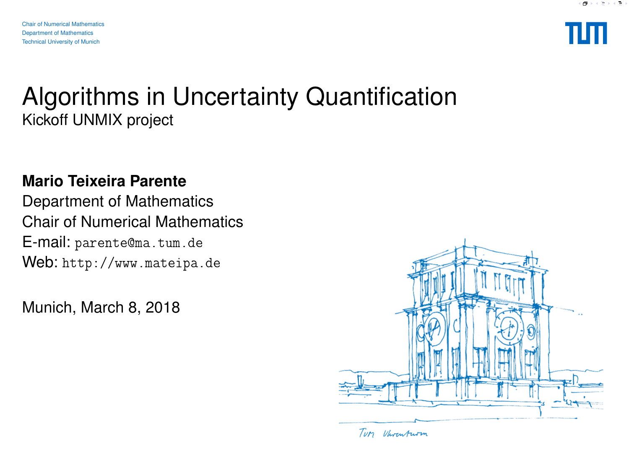

#### Algorithms in Uncertainty Quantification Kickoff UNMIX project

#### **Mario Teixeira Parente**

Department of Mathematics Chair of Numerical Mathematics E-mail: parente@ma.tum.de Web: http://www.mateipa.de

Munich, March 8, 2018



Tury Vhrenturm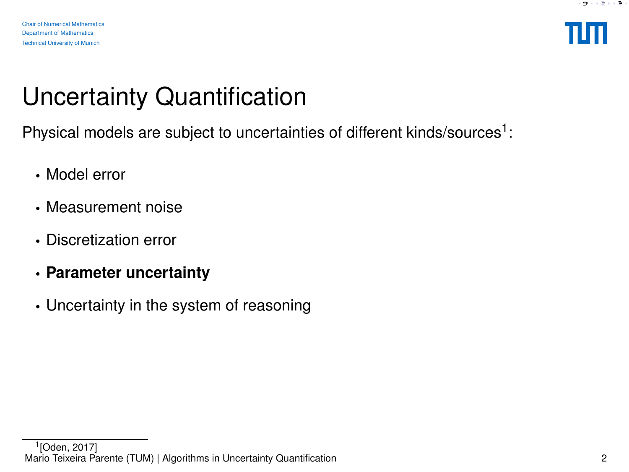

# Uncertainty Quantification

Physical models are subject to uncertainties of different kinds/sources<sup>1</sup>:

- Model error
- Measurement noise
- Discretization error
- **Parameter uncertainty**
- Uncertainty in the system of reasoning

<sup>1</sup> [\[Oden, 2017\]](#page-7-0) Mario Teixeira Parente (TUM) | Algorithms in Uncertainty Quantification 2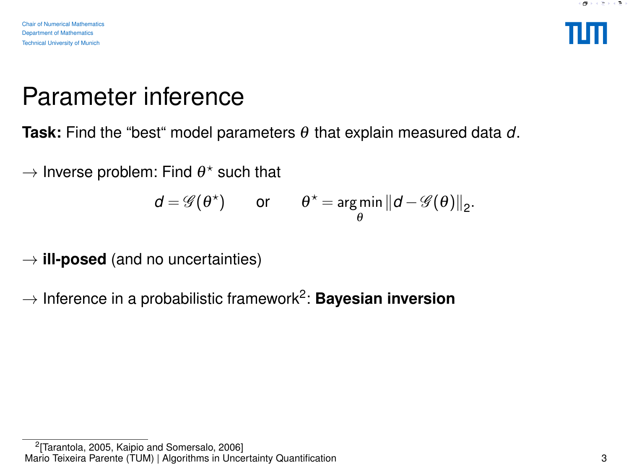

#### Parameter inference

**Task:** Find the "best" model parameters θ that explain measured data *d*.

 $\rightarrow$  Inverse problem: Find  $\theta^{\star}$  such that

$$
d = \mathscr{G}(\theta^*)
$$
 or  $\theta^* = \underset{\theta}{\arg\min} ||d - \mathscr{G}(\theta)||_2$ .

- $\rightarrow$  **ill-posed** (and no uncertainties)
- $\rightarrow$  Inference in a probabilistic framework<sup>2</sup>: **Bayesian inversion**

<sup>&</sup>lt;sup>2</sup>[\[Tarantola, 2005,](#page-7-1) [Kaipio and Somersalo, 2006\]](#page-7-2) Mario Teixeira Parente (TUM) | Algorithms in Uncertainty Quantification 3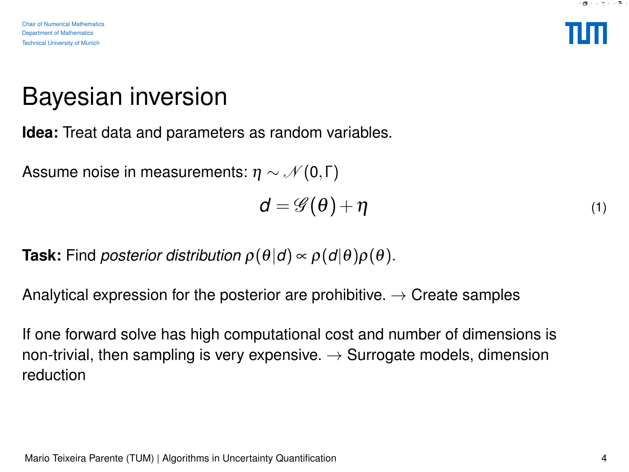

## Bayesian inversion

**Idea:** Treat data and parameters as random variables.

Assume noise in measurements:  $\eta \sim \mathcal{N}(0,\Gamma)$ 

$$
d = \mathscr{G}(\theta) + \eta \tag{1}
$$

**Task:** Find *posterior distribution*  $\rho(\theta|d) \propto \rho(d|\theta)\rho(\theta)$ .

Analytical expression for the posterior are prohibitive.  $\rightarrow$  Create samples

If one forward solve has high computational cost and number of dimensions is non-trivial, then sampling is very expensive.  $\rightarrow$  Surrogate models, dimension reduction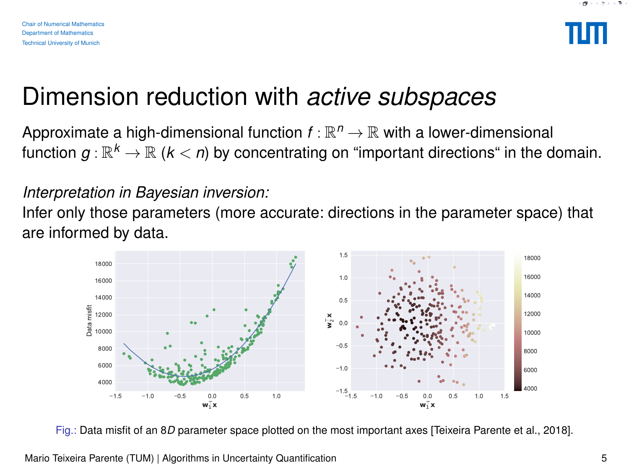

#### Dimension reduction with *active subspaces*

Approximate a high-dimensional function  $f : \mathbb{R}^n \to \mathbb{R}$  with a lower-dimensional function  $g:\mathbb{R}^k\to\mathbb{R}$  ( $k < n$ ) by concentrating on "important directions" in the domain.

#### *Interpretation in Bayesian inversion:*

Infer only those parameters (more accurate: directions in the parameter space) that are informed by data.



Fig.: Data misfit of an 8*D* parameter space plotted on the most important axes [\[Teixeira Parente et al., 2018\]](#page-7-3).

Mario Teixeira Parente (TUM) | Algorithms in Uncertainty Quantification 5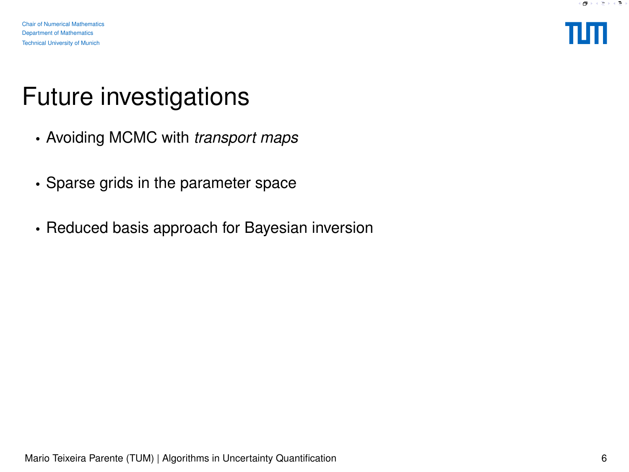

## Future investigations

- Avoiding MCMC with *transport maps*
- Sparse grids in the parameter space
- Reduced basis approach for Bayesian inversion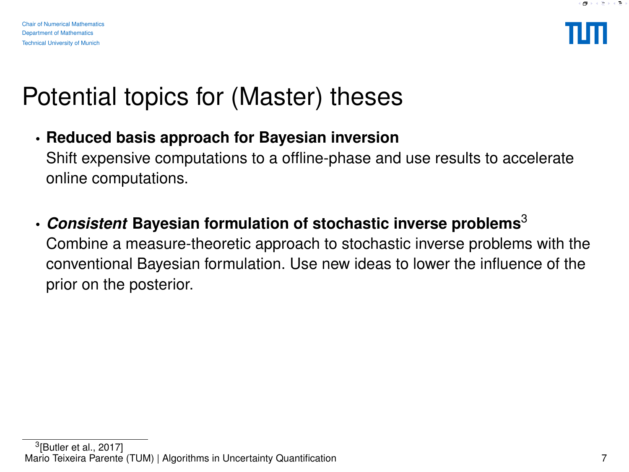

## Potential topics for (Master) theses

• **Reduced basis approach for Bayesian inversion**

Shift expensive computations to a offline-phase and use results to accelerate online computations.

• *Consistent* **Bayesian formulation of stochastic inverse problems**<sup>3</sup>

Combine a measure-theoretic approach to stochastic inverse problems with the conventional Bayesian formulation. Use new ideas to lower the influence of the prior on the posterior.

 $^3$ [\[Butler et al., 2017\]](#page-7-4) Mario Teixeira Parente (TUM) | Algorithms in Uncertainty Quantification 7